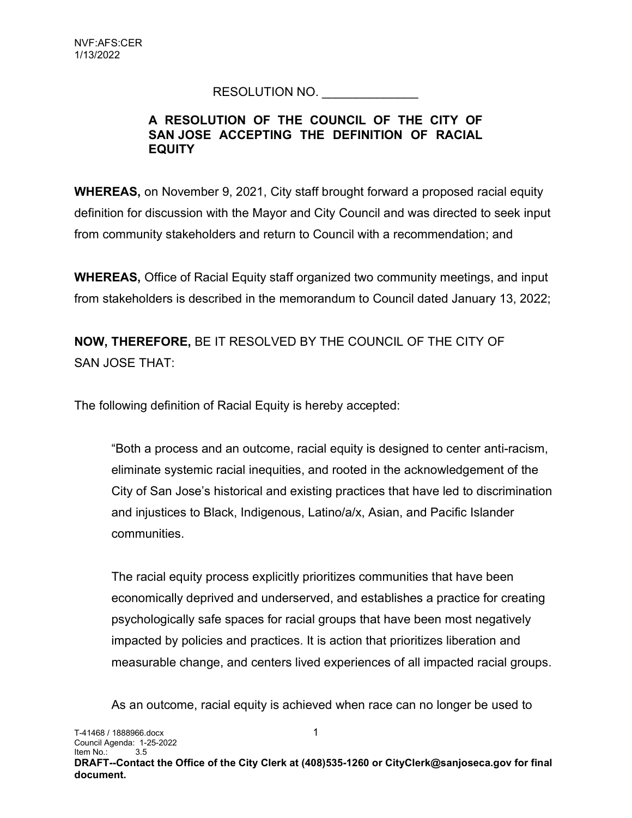## RESOLUTION NO.

## A RESOLUTION OF THE COUNCIL OF THE CITY OF SAN JOSE ACCEPTING THE DEFINITION OF RACIAL **EQUITY**

WHEREAS, on November 9, 2021, City staff brought forward a proposed racial equity definition for discussion with the Mayor and City Council and was directed to seek input from community stakeholders and return to Council with a recommendation; and

WHEREAS, Office of Racial Equity staff organized two community meetings, and input from stakeholders is described in the memorandum to Council dated January 13, 2022;

NOW, THEREFORE, BE IT RESOLVED BY THE COUNCIL OF THE CITY OF SAN JOSE THAT:

The following definition of Racial Equity is hereby accepted:

"Both a process and an outcome, racial equity is designed to center anti-racism, eliminate systemic racial inequities, and rooted in the acknowledgement of the City of San Jose's historical and existing practices that have led to discrimination and injustices to Black, Indigenous, Latino/a/x, Asian, and Pacific Islander communities.

The racial equity process explicitly prioritizes communities that have been economically deprived and underserved, and establishes a practice for creating psychologically safe spaces for racial groups that have been most negatively impacted by policies and practices. It is action that prioritizes liberation and measurable change, and centers lived experiences of all impacted racial groups.

As an outcome, racial equity is achieved when race can no longer be used to